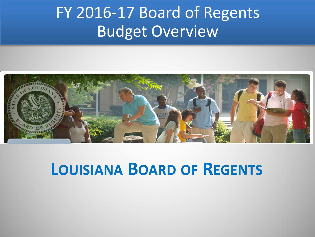#### FY 2016-17 Board of Regents **Budget Overview**



#### **LOUISIANA BOARD OF REGENTS**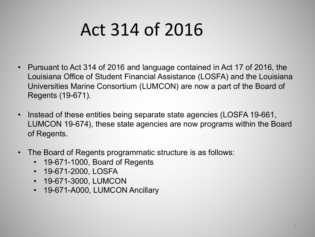# Act 314 of 2016

- Pursuant to Act 314 of 2016 and language contained in Act 17 of 2016, the Louisiana Office of Student Financial Assistance (LOSFA) and the Louisiana Universities Marine Consortium (LUMCON) are now a part of the Board of Regents (19-671).
- Instead of these entities being separate state agencies (LOSFA 19-661, LUMCON 19-674), these state agencies are now programs within the Board of Regents.
- The Board of Regents programmatic structure is as follows:
	- 19-671-1000, Board of Regents
	- 19-671-2000, LOSFA
	- 19-671-3000, LUMCON
	- 19-671-A000, LUMCON Ancillary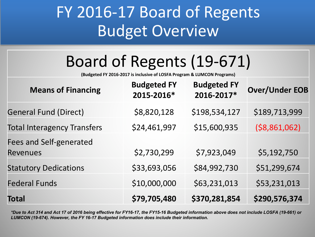#### FY 2016-17 Board of Regents **Budget Overview**

## Board of Regents (19-671)

**(Budgeted FY 2016-2017 is inclusive of LOSFA Program & LUMCON Programs)**

| <b>Means of Financing</b>                         | <b>Budgeted FY</b><br>2015-2016* | <b>Budgeted FY</b><br>2016-2017* | <b>Over/Under EOB</b> |
|---------------------------------------------------|----------------------------------|----------------------------------|-----------------------|
| <b>General Fund (Direct)</b>                      | \$8,820,128                      | \$198,534,127                    | \$189,713,999         |
| <b>Total Interagency Transfers</b>                | \$24,461,997                     | \$15,600,935                     | ( \$8,861,062)        |
| <b>Fees and Self-generated</b><br><b>Revenues</b> | \$2,730,299                      | \$7,923,049                      | \$5,192,750           |
| <b>Statutory Dedications</b>                      | \$33,693,056                     | \$84,992,730                     | \$51,299,674          |
| <b>Federal Funds</b>                              | \$10,000,000                     | \$63,231,013                     | \$53,231,013          |
| <b>Total</b>                                      | \$79,705,480                     | \$370,281,854                    | \$290,576,374         |

*\*Due to Act 314 and Act 17 of 2016 being effective for FY16-17, the FY15-16 Budgeted information above does not include LOSFA (19-661) or LUMCON (19-674). However, the FY 16-17 Budgeted information does include their information.*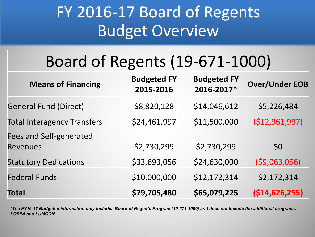### FY 2016-17 Board of Regents **Budget Overview**

## Board of Regents (19-671-1000)

| <b>Means of Financing</b>                         | <b>Budgeted FY</b><br>2015-2016 | <b>Budgeted FY</b><br>2016-2017* | <b>Over/Under EOB</b> |
|---------------------------------------------------|---------------------------------|----------------------------------|-----------------------|
| <b>General Fund (Direct)</b>                      | \$8,820,128                     | \$14,046,612                     | \$5,226,484           |
| <b>Total Interagency Transfers</b>                | \$24,461,997                    | \$11,500,000                     | (\$12,961,997)        |
| <b>Fees and Self-generated</b><br><b>Revenues</b> | \$2,730,299                     | \$2,730,299                      | \$0                   |
| <b>Statutory Dedications</b>                      | \$33,693,056                    | \$24,630,000                     | ( \$9,063,056)        |
| <b>Federal Funds</b>                              | \$10,000,000                    | \$12,172,314                     | \$2,172,314           |
| <b>Total</b>                                      | \$79,705,480                    | \$65,079,225                     | ( \$14,626,255)       |

*\*The FY16-17 Budgeted information only includes Board of Regents Program (19-671-1000) and does not include the additional programs, LOSFA and LUMCON.*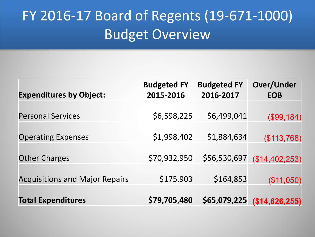#### FY 2016-17 Board of Regents (19-671-1000) **Budget Overview**

| <b>Expenditures by Object:</b>        | <b>Budgeted FY</b><br>2015-2016 | <b>Budgeted FY</b><br>2016-2017 | <b>Over/Under</b><br><b>EOB</b> |
|---------------------------------------|---------------------------------|---------------------------------|---------------------------------|
| <b>Personal Services</b>              | \$6,598,225                     | \$6,499,041                     | (\$99,184)                      |
| <b>Operating Expenses</b>             | \$1,998,402                     | \$1,884,634                     | (\$113,768)                     |
| <b>Other Charges</b>                  | \$70,932,950                    | \$56,530,697                    | (\$14,402,253)                  |
| <b>Acquisitions and Major Repairs</b> | \$175,903                       | \$164,853                       | (\$11,050)                      |
| <b>Total Expenditures</b>             | \$79,705,480                    | \$65,079,225                    | (\$14,626,255)                  |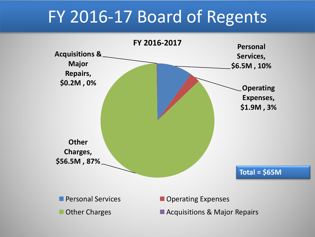## FY 2016-17 Board of Regents

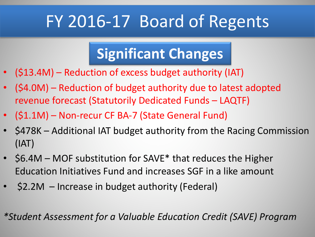# FY 2016-17 Board of Regents

#### **Significant Changes**

- (\$13.4M) Reduction of excess budget authority (IAT)
- (\$4.0M) Reduction of budget authority due to latest adopted revenue forecast (Statutorily Dedicated Funds - LAQTF)
- (\$1.1M) Non-recur CF BA-7 (State General Fund)
- \$478K Additional IAT budget authority from the Racing Commission (IAT)
- $$6.4M$  MOF substitution for SAVE\* that reduces the Higher Education Initiatives Fund and increases SGF in a like amount
- \$2.2M Increase in budget authority (Federal)

*\*Student Assessment for a Valuable Education Credit (SAVE) Program*